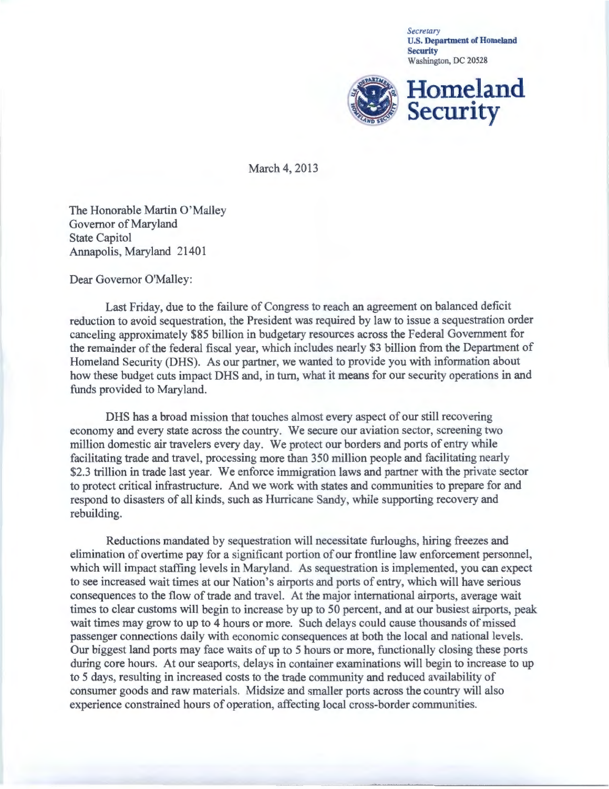*Secretary*  U.S. Department of Homeland **Security** Washington, DC 20528



March 4, 2013

The Honorable Martin O'Malley Governor of Maryland State Capitol Annapolis, Maryland 21401

Dear Governor O'Malley:

Last Friday, due to the failure of Congress to reach an agreement on balanced deficit reduction to avoid sequestration, the President was required by law to issue a sequestration order canceling approximately \$85 billion in budgetary resources across the Federal Government for the remainder of the federal fiscal year, which includes nearly \$3 billion from the Department of Homeland Security (DHS). As our partner, we wanted to provide you with information about how these budget cuts impact DHS and, in turn, what it means for our security operations in and funds provided to Maryland.

DHS has a broad mission that touches almost every aspect of our still recovering economy and every state across the country. We secure our aviation sector, screening two million domestic air travelers every day. We protect our borders and ports of entry while facilitating trade and travel, processing more than 350 million people and facilitating nearly \$2.3 trillion in trade last year. We enforce immigration laws and partner with the private sector to protect critical infrastructure. And we work with states and communities to prepare for and respond to disasters of all kinds, such as Hurricane Sandy, while supporting recovery and rebuilding.

Reductions mandated by sequestration will necessitate furloughs, hiring freezes and elimination of overtime pay for a significant portion of our frontline law enforcement personnel, which will impact staffing levels in Maryland. As sequestration is implemented, you can expect to see increased wait times at our Nation's airports and ports of entry, which will have serious consequences to the flow of trade and travel. At the major international airports, average wait times to clear customs will begin to increase by up to 50 percent, and at our busiest airports, peak wait times may grow to up to 4 hours or more. Such delays could cause thousands of missed passenger connections daily with economic consequences at both the local and national levels. Our biggest land ports may face waits of up to 5 hours or more, functionally closing these ports during core hours. At our seaports, delays in container examinations will begin to increase to up to 5 days, resulting in increased costs to the trade community and reduced availability of consumer goods and raw materials. Midsize and smaller ports across the country will also experience constrained hours of operation, affecting local cross-border communities.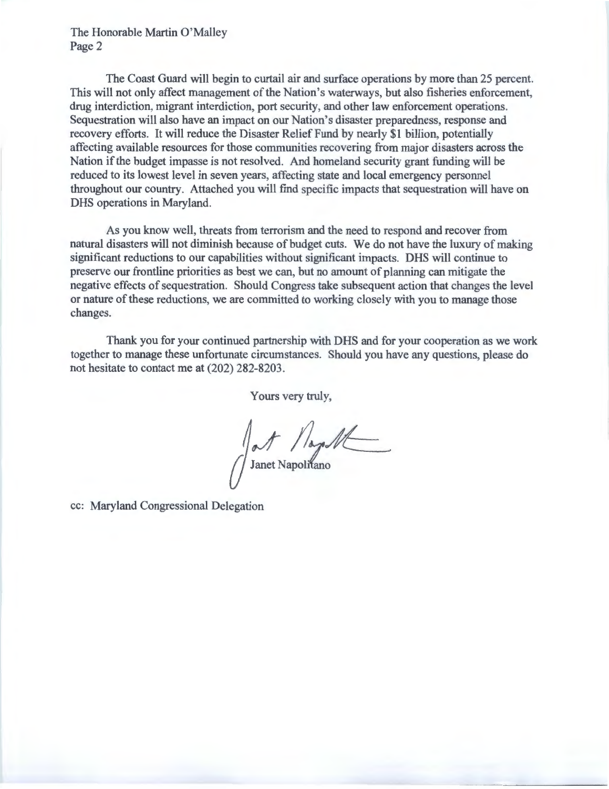The Honorable Martin O'Malley Page 2

The Coast Guard will begin to curtail air and surface operations by more than 25 percent. This will not only affect management of the Nation's waterways, but also fisheries enforcement, drug interdiction, migrant interdiction, port security, and other law enforcement operations. Sequestration will also have an impact on our Nation's disaster preparedness, response and recovery efforts. It will reduce the Disaster Relief Fund by nearly \$1 billion, potentially affecting available resources for those communities recovering from major disasters across the Nation if the budget impasse is not resolved. And homeland security grant funding will be reduced to its lowest level in seven years, affecting state and local emergency personnel throughout our country. Attached you will find specific impacts that sequestration will have on DHS operations in Maryland.

As you know well, threats from terrorism and the need to respond and recover from natural disasters will not diminish because of budget cuts. We do not have the luxury of making significant reductions to our capabilities without significant impacts. DHS will continue to preserve our frontline priorities as best we can, but no amount of planning can mitigate the negative effects of sequestration. Should Congress take subsequent action that changes the level or nature of these reductions, we are committed to working closely with you to manage those changes.

Thank you for your continued partnership with DHS and for your cooperation as we work together to manage these unfortunate circumstances. Should you have any questions, please do not hesitate to contact me at (202) 282-8203.

Yours very truly,

Sant Napolit

cc: Maryland Congressional Delegation